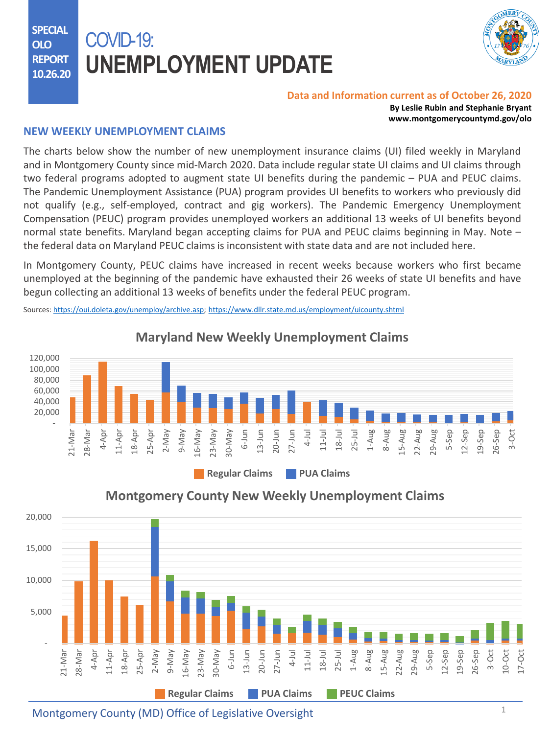**SPECIAL OLO REPORT 10.26.20**

# COVID-19: **UNEMPLOYMENT UPDATE**



#### **Data and Information current as of October 26, 2020**

**By Leslie Rubin and Stephanie Bryant www.montgomerycountymd.gov/olo**

#### **NEW WEEKLY UNEMPLOYMENT CLAIMS**

The charts below show the number of new unemployment insurance claims (UI) filed weekly in Maryland and in Montgomery County since mid-March 2020. Data include regular state UI claims and UI claims through two federal programs adopted to augment state UI benefits during the pandemic – PUA and PEUC claims. The Pandemic Unemployment Assistance (PUA) program provides UI benefits to workers who previously did not qualify (e.g., self-employed, contract and gig workers). The Pandemic Emergency Unemployment Compensation (PEUC) program provides unemployed workers an additional 13 weeks of UI benefits beyond normal state benefits. Maryland began accepting claims for PUA and PEUC claims beginning in May. Note – the federal data on Maryland PEUC claims is inconsistent with state data and are not included here.

In Montgomery County, PEUC claims have increased in recent weeks because workers who first became unemployed at the beginning of the pandemic have exhausted their 26 weeks of state UI benefits and have begun collecting an additional 13 weeks of benefits under the federal PEUC program.

Sources: [https://oui.doleta.gov/unemploy/archive.asp;](https://oui.doleta.gov/unemploy/archive.asp) <https://www.dllr.state.md.us/employment/uicounty.shtml>



#### - 5,000 10,000 15,000 20,000 21-Mar 28-Mar 4-Apr 11-Apr 18-Apr 25-Apr 2-May 9-May 16-May 23-May 30-May 6-Jun 13-Jun 20-Jun 27-Jun 4-Jul 11-Jul 18-Jul 25-Jul 1-Aug 8-Aug 15-Aug 22-Aug 29-Aug 5-Sep 12-Sep 19-Sep 26-Sep 3-Oct 10-Oct 17-Oct **Regular Claims PUA Claims PEUC Claims**

### **Montgomery County New Weekly Unemployment Claims**

Montgomery County (MD) Office of Legislative Oversight  $1$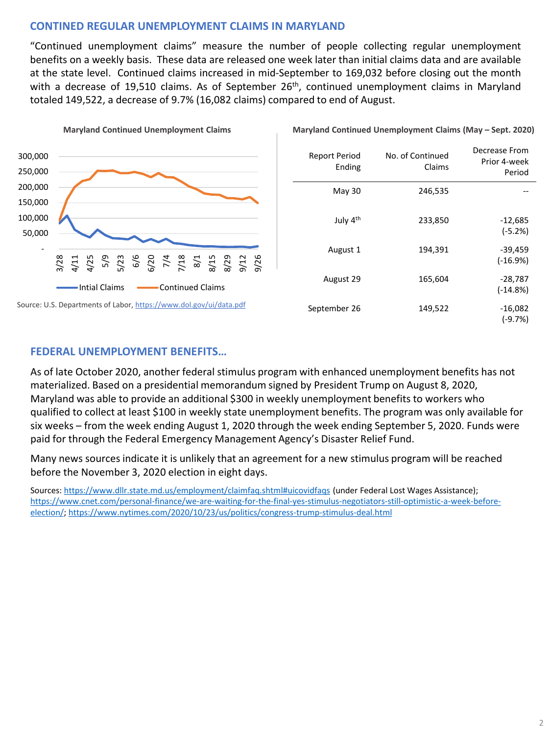#### **CONTINED REGULAR UNEMPLOYMENT CLAIMS IN MARYLAND**

"Continued unemployment claims" measure the number of people collecting regular unemployment benefits on a weekly basis. These data are released one week later than initial claims data and are available at the state level. Continued claims increased in mid-September to 169,032 before closing out the month with a decrease of 19,510 claims. As of September 26<sup>th</sup>, continued unemployment claims in Maryland totaled 149,522, a decrease of 9.7% (16,082 claims) compared to end of August.



| <b>Report Period</b><br>Ending | No. of Continued<br>Claims | Decrease From<br>Prior 4-week<br>Period |
|--------------------------------|----------------------------|-----------------------------------------|
| May 30                         | 246,535                    |                                         |
| July 4th                       | 233,850                    | $-12,685$<br>$(-5.2%)$                  |
| August 1                       | 194,391                    | $-39,459$<br>$(-16.9%)$                 |
| August 29                      | 165,604                    | $-28,787$<br>$(-14.8%)$                 |
| September 26                   | 149,522                    | $-16,082$<br>$(-9.7%)$                  |

**Maryland Continued Unemployment Claims (May - Sept. 2020)** 

#### **FEDERAL UNEMPLOYMENT BENEFITS…**

As of late October 2020, another federal stimulus program with enhanced unemployment benefits has not materialized. Based on a presidential memorandum signed by President Trump on August 8, 2020, Maryland was able to provide an additional \$300 in weekly unemployment benefits to workers who qualified to collect at least \$100 in weekly state unemployment benefits. The program was only available for six weeks – from the week ending August 1, 2020 through the week ending September 5, 2020. Funds were paid for through the Federal Emergency Management Agency's Disaster Relief Fund.

Many news sources indicate it is unlikely that an agreement for a new stimulus program will be reached before the November 3, 2020 election in eight days.

Sources: <https://www.dllr.state.md.us/employment/claimfaq.shtml#uicovidfaqs> (under Federal Lost Wages Assistance); [https://www.cnet.com/personal-finance/we-are-waiting-for-the-final-yes-stimulus-negotiators-still-optimistic-a-week-before](https://www.cnet.com/personal-finance/we-are-waiting-for-the-final-yes-stimulus-negotiators-still-optimistic-a-week-before-election/)election/;<https://www.nytimes.com/2020/10/23/us/politics/congress-trump-stimulus-deal.html>